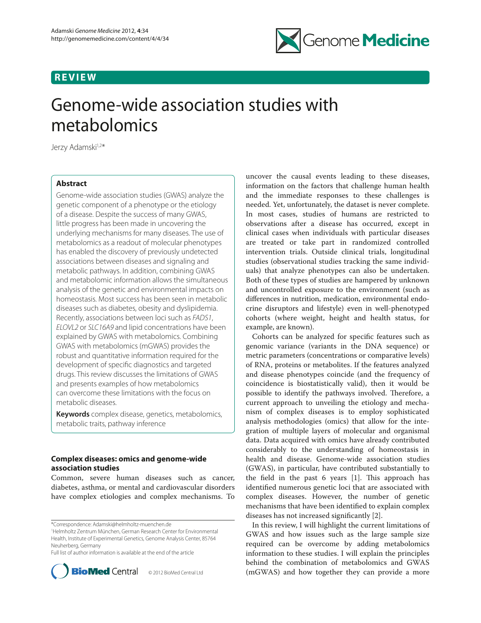## **REVIEW**



# Genome-wide association studies with metabolomics

Jerzy Adamski<sup>1,2\*</sup>

## **Abstract**

Genome-wide association studies (GWAS) analyze the genetic component of a phenotype or the etiology of a disease. Despite the success of many GWAS, little progress has been made in uncovering the underlying mechanisms for many diseases. The use of metabolomics as a readout of molecular phenotypes has enabled the discovery of previously undetected associations between diseases and signaling and metabolic pathways. In addition, combining GWAS and metabolomic information allows the simultaneous analysis of the genetic and environmental impacts on homeostasis. Most success has been seen in metabolic diseases such as diabetes, obesity and dyslipidemia. Recently, associations between loci such as *FADS1*, *ELOVL2* or *SLC16A9* and lipid concentrations have been explained by GWAS with metabolomics. Combining GWAS with metabolomics (mGWAS) provides the robust and quantitative information required for the development of specific diagnostics and targeted drugs. This review discusses the limitations of GWAS and presents examples of how metabolomics can overcome these limitations with the focus on metabolic diseases.

**Keywords** complex disease, genetics, metabolomics, metabolic traits, pathway inference

## **Complex diseases: omics and genome-wide association studies**

Common, severe human diseases such as cancer, diabetes, asthma, or mental and cardiovascular disorders have complex etiologies and complex mechanisms. To

\*Correspondence: Adamski@helmholtz-muenchen.de

1 Helmholtz Zentrum München, German Research Center for Environmental Health, Institute of Experimental Genetics, Genome Analysis Center, 85764 Neuherberg, Germany

Full list of author information is available at the end of the article



uncover the causal events leading to these diseases, information on the factors that challenge human health and the immediate responses to these challenges is needed. Yet, unfortunately, the dataset is never complete. In most cases, studies of humans are restricted to observations after a disease has occurred, except in clinical cases when individuals with particular diseases are treated or take part in randomized controlled intervention trials. Outside clinical trials, longitudinal studies (observational studies tracking the same individuals) that analyze phenotypes can also be undertaken. Both of these types of studies are hampered by unknown and uncontrolled exposure to the environment (such as differences in nutrition, medication, environmental endocrine disruptors and lifestyle) even in well-phenotyped cohorts (where weight, height and health status, for example, are known).

Cohorts can be analyzed for specific features such as genomic variance (variants in the DNA sequence) or metric parameters (concentrations or comparative levels) of RNA, proteins or metabolites. If the features analyzed and disease phenotypes coincide (and the frequency of coincidence is biostatistically valid), then it would be possible to identify the pathways involved. Therefore, a current approach to unveiling the etiology and mechanism of complex diseases is to employ sophisticated analysis methodologies (omics) that allow for the integration of multiple layers of molecular and organismal data. Data acquired with omics have already contributed considerably to the understanding of homeostasis in health and disease. Genome-wide association studies (GWAS), in particular, have contributed substantially to the field in the past  $6$  years  $[1]$ . This approach has identified numerous genetic loci that are associated with complex diseases. However, the number of genetic mechanisms that have been identified to explain complex diseases has not increased significantly [2].

In this review, I will highlight the current limitations of GWAS and how issues such as the large sample size required can be overcome by adding metabolomics information to these studies. I will explain the principles behind the combination of metabolomics and GWAS (mGWAS) and how together they can provide a more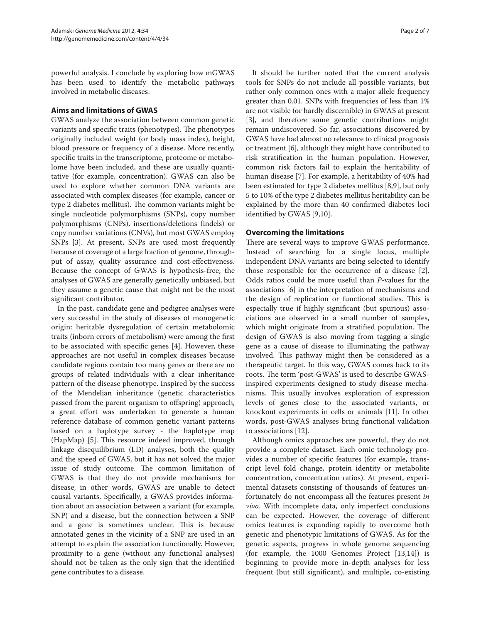powerful analysis. I conclude by exploring how mGWAS has been used to identify the metabolic pathways involved in metabolic diseases.

## **Aims and limitations of GWAS**

GWAS analyze the association between common genetic variants and specific traits (phenotypes). The phenotypes originally included weight (or body mass index), height, blood pressure or frequency of a disease. More recently, specific traits in the transcriptome, proteome or metabolome have been included, and these are usually quantitative (for example, concentration). GWAS can also be used to explore whether common DNA variants are associated with complex diseases (for example, cancer or type 2 diabetes mellitus). The common variants might be single nucleotide polymorphisms (SNPs), copy number polymorphisms (CNPs), insertions/deletions (indels) or copy number variations (CNVs), but most GWAS employ SNPs [3]. At present, SNPs are used most frequently because of coverage of a large fraction of genome, throughput of assay, quality assurance and cost-effectiveness. Because the concept of GWAS is hypothesis-free, the analyses of GWAS are generally genetically unbiased, but they assume a genetic cause that might not be the most significant contributor.

In the past, candidate gene and pedigree analyses were very successful in the study of diseases of monogenetic origin: heritable dysregulation of certain metabolomic traits (inborn errors of metabolism) were among the first to be associated with specific genes [4]. However, these approaches are not useful in complex diseases because candidate regions contain too many genes or there are no groups of related individuals with a clear inheritance pattern of the disease phenotype. Inspired by the success of the Mendelian inheritance (genetic characteristics passed from the parent organism to offspring) approach, a great effort was undertaken to generate a human reference database of common genetic variant patterns based on a haplotype survey - the haplotype map (HapMap) [5]. This resource indeed improved, through linkage disequilibrium (LD) analyses, both the quality and the speed of GWAS, but it has not solved the major issue of study outcome. The common limitation of GWAS is that they do not provide mechanisms for disease; in other words, GWAS are unable to detect causal variants. Specifically, a GWAS provides information about an association between a variant (for example, SNP) and a disease, but the connection between a SNP and a gene is sometimes unclear. This is because annotated genes in the vicinity of a SNP are used in an attempt to explain the association functionally. However, proximity to a gene (without any functional analyses) should not be taken as the only sign that the identified gene contributes to a disease.

It should be further noted that the current analysis tools for SNPs do not include all possible variants, but rather only common ones with a major allele frequency greater than 0.01. SNPs with frequencies of less than 1% are not visible (or hardly discernible) in GWAS at present [3], and therefore some genetic contributions might remain undiscovered. So far, associations discovered by GWAS have had almost no relevance to clinical prognosis or treatment [6], although they might have contributed to risk stratification in the human population. However, common risk factors fail to explain the heritability of human disease [7]. For example, a heritability of 40% had been estimated for type 2 diabetes mellitus [8,9], but only 5 to 10% of the type 2 diabetes mellitus heritability can be explained by the more than 40 confirmed diabetes loci identified by GWAS [9,10].

## **Overcoming the limitations**

There are several ways to improve GWAS performance. Instead of searching for a single locus, multiple independent DNA variants are being selected to identify those responsible for the occurrence of a disease [2]. Odds ratios could be more useful than *P*-values for the associations [6] in the interpretation of mechanisms and the design of replication or functional studies. This is especially true if highly significant (but spurious) associations are observed in a small number of samples, which might originate from a stratified population. The design of GWAS is also moving from tagging a single gene as a cause of disease to illuminating the pathway involved. This pathway might then be considered as a therapeutic target. In this way, GWAS comes back to its roots. The term 'post-GWAS' is used to describe GWASinspired experiments designed to study disease mechanisms. This usually involves exploration of expression levels of genes close to the associated variants, or knockout experiments in cells or animals [11]. In other words, post-GWAS analyses bring functional validation to associations [12].

Although omics approaches are powerful, they do not provide a complete dataset. Each omic technology provides a number of specific features (for example, transcript level fold change, protein identity or metabolite concentration, concentration ratios). At present, experimental datasets consisting of thousands of features unfortunately do not encompass all the features present *in vivo*. With incomplete data, only imperfect conclusions can be expected. However, the coverage of different omics features is expanding rapidly to overcome both genetic and phenotypic limitations of GWAS. As for the genetic aspects, progress in whole genome sequencing (for example, the 1000 Genomes Project [13,14]) is beginning to provide more in-depth analyses for less frequent (but still significant), and multiple, co-existing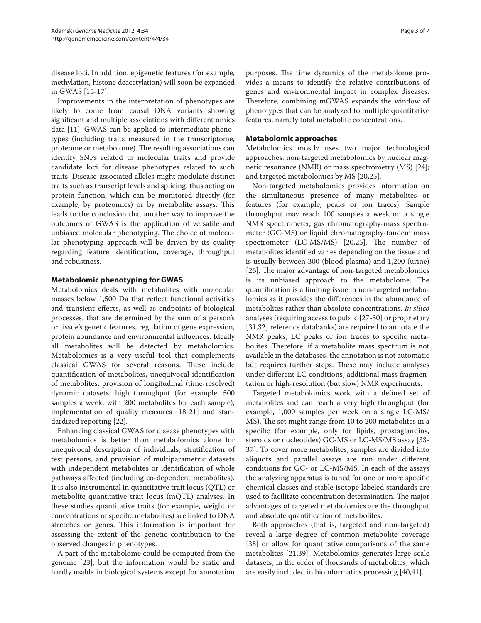disease loci. In addition, epigenetic features (for example, methylation, histone deacetylation) will soon be expanded in GWAS [15-17].

Improvements in the interpretation of phenotypes are likely to come from causal DNA variants showing significant and multiple associations with different omics data [11]. GWAS can be applied to intermediate phenotypes (including traits measured in the transcriptome, proteome or metabolome). The resulting associations can identify SNPs related to molecular traits and provide candidate loci for disease phenotypes related to such traits. Disease-associated alleles might modulate distinct traits such as transcript levels and splicing, thus acting on protein function, which can be monitored directly (for example, by proteomics) or by metabolite assays. This leads to the conclusion that another way to improve the outcomes of GWAS is the application of versatile and unbiased molecular phenotyping. The choice of molecular phenotyping approach will be driven by its quality regarding feature identification, coverage, throughput and robustness.

## **Metabolomic phenotyping for GWAS**

Metabolomics deals with metabolites with molecular masses below 1,500 Da that reflect functional activities and transient effects, as well as endpoints of biological processes, that are determined by the sum of a person's or tissue's genetic features, regulation of gene expression, protein abundance and environmental influences. Ideally all metabolites will be detected by metabolomics. Metabolomics is a very useful tool that complements classical GWAS for several reasons. These include quantification of metabolites, unequivocal identification of metabolites, provision of longitudinal (time-resolved) dynamic datasets, high throughput (for example, 500 samples a week, with 200 metabolites for each sample), implementation of quality measures [18-21] and standardized reporting [22].

Enhancing classical GWAS for disease phenotypes with metabolomics is better than metabolomics alone for unequivocal description of individuals, stratification of test persons, and provision of multiparametric datasets with independent metabolites or identification of whole pathways affected (including co-dependent metabolites). It is also instrumental in quantitative trait locus (QTL) or metabolite quantitative trait locus (mQTL) analyses. In these studies quantitative traits (for example, weight or concentrations of specific metabolites) are linked to DNA stretches or genes. This information is important for assessing the extent of the genetic contribution to the observed changes in phenotypes.

A part of the metabolome could be computed from the genome [23], but the information would be static and hardly usable in biological systems except for annotation purposes. The time dynamics of the metabolome provides a means to identify the relative contributions of genes and environmental impact in complex diseases. Therefore, combining mGWAS expands the window of phenotypes that can be analyzed to multiple quantitative features, namely total metabolite concentrations.

### **Metabolomic approaches**

Metabolomics mostly uses two major technological approaches: non-targeted metabolomics by nuclear magnetic resonance (NMR) or mass spectrometry (MS) [24]; and targeted metabolomics by MS [20,25].

Non-targeted metabolomics provides information on the simultaneous presence of many metabolites or features (for example, peaks or ion traces). Sample throughput may reach 100 samples a week on a single NMR spectrometer, gas chromatography-mass spectrometer (GC-MS) or liquid chromatography-tandem mass spectrometer (LC-MS/MS) [20,25]. The number of metabolites identified varies depending on the tissue and is usually between 300 (blood plasma) and 1,200 (urine) [26]. The major advantage of non-targeted metabolomics is its unbiased approach to the metabolome. The quantification is a limiting issue in non-targeted metabolomics as it provides the differences in the abundance of metabolites rather than absolute concentrations. *In silico* analyses (requiring access to public [27-30] or proprietary [31,32] reference databanks) are required to annotate the NMR peaks, LC peaks or ion traces to specific metabolites. Therefore, if a metabolite mass spectrum is not available in the databases, the annotation is not automatic but requires further steps. These may include analyses under different LC conditions, additional mass fragmentation or high-resolution (but slow) NMR experiments.

Targeted metabolomics work with a defined set of metabolites and can reach a very high throughput (for example, 1,000 samples per week on a single LC-MS/ MS). The set might range from 10 to 200 metabolites in a specific (for example, only for lipids, prostaglandins, steroids or nucleotides) GC-MS or LC-MS/MS assay [33-37]. To cover more metabolites, samples are divided into aliquots and parallel assays are run under different conditions for GC- or LC-MS/MS. In each of the assays the analyzing apparatus is tuned for one or more specific chemical classes and stable isotope labeled standards are used to facilitate concentration determination. The major advantages of targeted metabolomics are the throughput and absolute quantification of metabolites.

Both approaches (that is, targeted and non-targeted) reveal a large degree of common metabolite coverage [38] or allow for quantitative comparisons of the same metabolites [21,39]. Metabolomics generates large-scale datasets, in the order of thousands of metabolites, which are easily included in bioinformatics processing [40,41].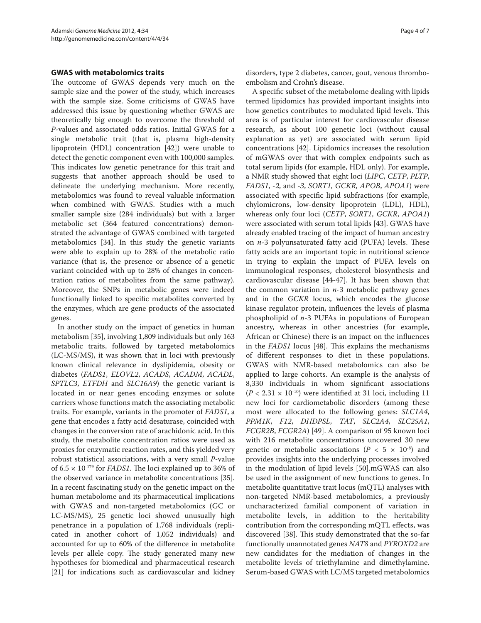#### **GWAS with metabolomics traits**

The outcome of GWAS depends very much on the sample size and the power of the study, which increases with the sample size. Some criticisms of GWAS have addressed this issue by questioning whether GWAS are theoretically big enough to overcome the threshold of *P*values and associated odds ratios. Initial GWAS for a single metabolic trait (that is, plasma high-density lipoprotein (HDL) concentration [42]) were unable to detect the genetic component even with 100,000 samples. This indicates low genetic penetrance for this trait and suggests that another approach should be used to delineate the underlying mechanism. More recently, metabolomics was found to reveal valuable information when combined with GWAS. Studies with a much smaller sample size (284 individuals) but with a larger metabolic set (364 featured concentrations) demonstrated the advantage of GWAS combined with targeted metabolomics [34]. In this study the genetic variants were able to explain up to 28% of the metabolic ratio variance (that is, the presence or absence of a genetic variant coincided with up to 28% of changes in concentration ratios of metabolites from the same pathway). Moreover, the SNPs in metabolic genes were indeed functionally linked to specific metabolites converted by the enzymes, which are gene products of the associated genes.

In another study on the impact of genetics in human metabolism [35], involving 1,809 individuals but only 163 metabolic traits, followed by targeted metabolomics  $(LC-MS/MS)$ , it was shown that in loci with previously known clinical relevance in dyslipidemia, obesity or diabetes (*FADS1*, *ELOVL2*, *ACADS*, *ACADM*, *ACADL*, *SPTLC3*, *ETFDH* and *SLC16A9*) the genetic variant is located in or near genes encoding enzymes or solute carriers whose functions match the associating metabolic traits. For example, variants in the promoter of *FADS1*, a gene that encodes a fatty acid desaturase, coincided with changes in the conversion rate of arachidonic acid. In this study, the metabolite concentration ratios were used as proxies for enzymatic reaction rates, and this yielded very robust statistical associations, with a very small *P*-value of 6.5 × 10-179 for *FADS1*. The loci explained up to 36% of the observed variance in metabolite concentrations [35]. In a recent fascinating study on the genetic impact on the human metabolome and its pharmaceutical implications with GWAS and non-targeted metabolomics (GC or LC-MS/MS), 25 genetic loci showed unusually high penetrance in a population of 1,768 individuals (replicated in another cohort of 1,052 individuals) and accounted for up to 60% of the difference in metabolite levels per allele copy. The study generated many new hypotheses for biomedical and pharmaceutical research [21] for indications such as cardiovascular and kidney

disorders, type 2 diabetes, cancer, gout, venous thromboembolism and Crohn's disease.

A specific subset of the metabolome dealing with lipids termed lipidomics has provided important insights into how genetics contributes to modulated lipid levels. This area is of particular interest for cardiovascular disease research, as about 100 genetic loci (without causal explanation as yet) are associated with serum lipid concentrations [42]. Lipidomics increases the resolution of mGWAS over that with complex endpoints such as total serum lipids (for example, HDL only). For example, a NMR study showed that eight loci (*LIPC*, *CETP*, *PLTP*, *FADS1*, *-2*, and *-3*, *SORT1*, *GCKR*, *APOB*, *APOA1*) were associated with specific lipid subfractions (for example, chylomicrons, low-density lipoprotein (LDL), HDL), whereas only four loci (*CETP*, *SORT1*, *GCKR*, *APOA1*) were associated with serum total lipids [43]. GWAS have already enabled tracing of the impact of human ancestry on *n*-3 polyunsaturated fatty acid (PUFA) levels. These fatty acids are an important topic in nutritional science in trying to explain the impact of PUFA levels on immunological responses, cholesterol biosynthesis and cardiovascular disease [44-47]. It has been shown that the common variation in *n*-3 metabolic pathway genes and in the *GCKR* locus, which encodes the glucose kinase regulator protein, influences the levels of plasma phospholipid of *n*-3 PUFAs in populations of European ancestry, whereas in other ancestries (for example, African or Chinese) there is an impact on the influences in the *FADS1* locus [48]. This explains the mechanisms of different responses to diet in these populations. GWAS with NMR-based metabolomics can also be applied to large cohorts. An example is the analysis of 8,330 individuals in whom significant associations  $(P < 2.31 \times 10^{-10})$  were identified at 31 loci, including 11 new loci for cardiometabolic disorders (among these most were allocated to the following genes: *SLC1A4*, *PPM1K*, *F12*, *DHDPSL*, *TAT*, *SLC2A4*, *SLC25A1*, *FCGR2B*, *FCGR2A*) [49]. A comparison of 95 known loci with 216 metabolite concentrations uncovered 30 new genetic or metabolic associations ( $P < 5 \times 10^{-8}$ ) and provides insights into the underlying processes involved in the modulation of lipid levels [50].mGWAS can also be used in the assignment of new functions to genes. In metabolite quantitative trait locus (mQTL) analyses with non-targeted NMR-based metabolomics, a previously uncharacterized familial component of variation in metabolite levels, in addition to the heritability contribution from the corresponding mQTL effects, was discovered [38]. This study demonstrated that the so-far functionally unannotated genes *NAT8* and *PYROXD2* are new candidates for the mediation of changes in the metabolite levels of triethylamine and dimethylamine. Serum-based GWAS with LC/MS targeted metabolomics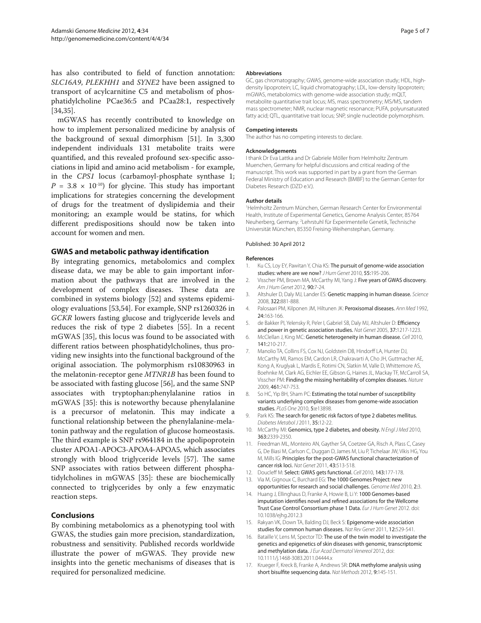has also contributed to field of function annotation: *SLC16A9*, *PLEKHH1* and *SYNE2* have been assigned to transport of acylcarnitine C5 and metabolism of phosphatidylcholine PCae36:5 and PCaa28:1, respectively [34,35].

mGWAS has recently contributed to knowledge on how to implement personalized medicine by analysis of the background of sexual dimorphism [51]. In 3,300 independent individuals 131 metabolite traits were quantified, and this revealed profound sex-specific associations in lipid and amino acid metabolism - for example, in the *CPS1* locus (carbamoyl-phosphate synthase 1;  $P = 3.8 \times 10^{-10}$  for glycine. This study has important implications for strategies concerning the development of drugs for the treatment of dyslipidemia and their monitoring; an example would be statins, for which different predispositions should now be taken into account for women and men.

#### **GWAS and metabolic pathway identification**

By integrating genomics, metabolomics and complex disease data, we may be able to gain important information about the pathways that are involved in the development of complex diseases. These data are combined in systems biology [52] and systems epidemiology evaluations [53,54]. For example, SNP rs1260326 in *GCKR* lowers fasting glucose and triglyceride levels and reduces the risk of type 2 diabetes [55]. In a recent mGWAS [35], this locus was found to be associated with different ratios between phosphatidylcholines, thus providing new insights into the functional background of the original association. The polymorphism rs10830963 in the melatonin-receptor gene *MTNR1B* has been found to be associated with fasting glucose [56], and the same SNP associates with tryptophan:phenylalanine ratios in mGWAS [35]: this is noteworthy because phenylalanine is a precursor of melatonin. This may indicate a functional relationship between the phenylalanine-melatonin pathway and the regulation of glucose homeostasis. The third example is SNP rs964184 in the apolipoprotein cluster APOA1-APOC3-APOA4-APOA5, which associates strongly with blood triglyceride levels [57]. The same SNP associates with ratios between different phosphatidylcholines in mGWAS [35]: these are biochemically connected to triglycerides by only a few enzymatic reaction steps.

#### **Conclusions**

By combining metabolomics as a phenotyping tool with GWAS, the studies gain more precision, standardization, robustness and sensitivity. Published records worldwide illustrate the power of mGWAS. They provide new insights into the genetic mechanisms of diseases that is required for personalized medicine.

#### **Abbreviations**

GC, gas chromatography; GWAS, genome-wide association study; HDL, highdensity lipoprotein; LC, liquid chromatography; LDL, low-density lipoprotein; mGWAS, metabolomics with genome-wide association study; mQLT, metabolite quantitative trait locus; MS, mass spectrometry; MS/MS, tandem mass spectrometer; NMR, nuclear magnetic resonance; PUFA, polyunsaturated fatty acid; QTL, quantitative trait locus; SNP, single nucleotide polymorphism.

#### **Competing interests**

The author has no competing interests to declare.

#### **Acknowledgements**

I thank Dr Eva Lattka and Dr Gabriele Möller from Helmholtz Zentrum Muenchen, Germany for helpful discussions and critical reading of the manuscript. This work was supported in part by a grant from the German Federal Ministry of Education and Research (BMBF) to the German Center for Diabetes Research (DZD e.V.).

#### **Author details**

1 Helmholtz Zentrum München, German Research Center for Environmental Health, Institute of Experimental Genetics, Genome Analysis Center, 85764 Neuherberg, Germany. <sup>2</sup> Lehrstuhl für Experimentelle Genetik, Technische Universität München, 85350 Freising-Weihenstephan, Germany.

#### Published: 30 April 2012

#### **References**

- 1. Ku CS, Loy EY, Pawitan Y, Chia KS: The pursuit of genome-wide association studies: where are we now? *J Hum Genet* 2010, 55:195-206.
- 2. Visscher PM, Brown MA, McCarthy MI, Yang J: Five years of GWAS discovery. *Am J Hum Genet* 2012, 90:7-24.
- 3. Altshuler D, Daly MJ, Lander ES: Genetic mapping in human disease. *Science*  2008, 322:881-888.
- 4. Palosaari PM, Kilponen JM, Hiltunen JK: Peroxisomal diseases. *Ann Med* 1992, 24:163-166.
- 5. de Bakker PI, Yelensky R, Pe'er I, Gabriel SB, Daly MJ, Altshuler D: Efficiency and power in genetic association studies. *Nat Genet* 2005, 37:1217-1223.
- 6. McClellan J, King MC: Genetic heterogeneity in human disease. *Cell* 2010, 141:210-217.
- 7. Manolio TA, Collins FS, Cox NJ, Goldstein DB, Hindorff LA, Hunter DJ, McCarthy MI, Ramos EM, Cardon LR, Chakravarti A, Cho JH, Guttmacher AE, Kong A, Kruglyak L, Mardis E, Rotimi CN, Slatkin M, Valle D, Whittemore AS, Boehnke M, Clark AG, Eichler EE, Gibson G, Haines JL, Mackay TF, McCarroll SA, Visscher PM: Finding the missing heritability of complex diseases. *Nature*  2009, 461:747-753.
- So HC, Yip BH, Sham PC: Estimating the total number of susceptibility variants underlying complex diseases from genome-wide association studies. *PLoS One* 2010, 5:e13898.
- 9. Park KS: The search for genetic risk factors of type 2 diabetes mellitus. *Diabetes Metabol J* 2011, 35:12-22.
- 10. McCarthy MI: Genomics, type 2 diabetes, and obesity. *N Engl J Med* 2010, 363:2339-2350.
- 11. Freedman ML, Monteiro AN, Gayther SA, Coetzee GA, Risch A, Plass C, Casey G, De Biasi M, Carlson C, Duggan D, James M, Liu P, Tichelaar JW, Vikis HG, You M, Mills IG: Principles for the post-GWAS functional characterization of cancer risk loci. *Nat Genet* 2011, 43:513-518.
- 12. Doucleff M: Select: GWAS gets functional. *Cell* 2010, 143:177-178.
- 13. Via M, Gignoux C, Burchard EG: The 1000 Genomes Project: new opportunities for research and social challenges. *Genome Med* 2010, 2:3.
- 14. Huang J, Ellinghaus D, Franke A, Howie B, Li Y: 1000 Genomes-based imputation identifies novel and refined associations for the Wellcome Trust Case Control Consortium phase 1 Data. *Eur J Hum Genet* 2012. doi: 10.1038/ejhg.2012.3
- 15. Rakyan VK, Down TA, Balding DJ, Beck S: Epigenome-wide association studies for common human diseases. *Nat Rev Genet* 2011, 12:529-541.
- 16. Bataille V, Lens M, Spector TD: The use of the twin model to investigate the genetics and epigenetics of skin diseases with genomic, transcriptomic and methylation data. *J Eur Acad Dermatol Venereol* 2012, doi: 10.1111/j.1468-3083.2011.04444.x
- 17. Krueger F, Kreck B, Franke A, Andrews SR: DNA methylome analysis using short bisulfite sequencing data. *Nat Methods* 2012, 9:145-151.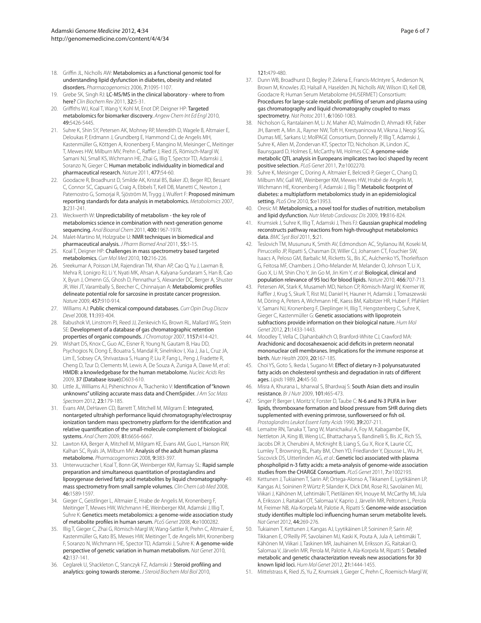- 18. Griffin JL, Nicholls AW: Metabolomics as a functional genomic tool for understanding lipid dysfunction in diabetes, obesity and related disorders. *Pharmacogenomics* 2006, 7:1095-1107.
- 19. Grebe SK, Singh RJ: LC-MS/MS in the clinical laboratory where to from here? *Clin Biochem Rev* 2011, 32:5-31.
- 20. Griffiths WJ, Koal T, Wang Y, Kohl M, Enot DP, Deigner HP: Targeted metabolomics for biomarker discovery. *Angew Chem Int Ed Engl* 2010, 49:5426-5445.
- 21. Suhre K, Shin SY, Petersen AK, Mohney RP, Meredith D, Wagele B, Altmaier E, Deloukas P, Erdmann J, Grundberg E, Hammond CJ, de Angelis MH, Kastenmüller G, Köttgen A, Kronenberg F, Mangino M, Meisinger C, Meitinger T, Mewes HW, Milburn MV, Prehn C, Raffler J, Ried JS, Römisch-Margl W, Samani NJ, Small KS, Wichmann HE, Zhai G, Illig T, Spector TD, Adamski J, Soranzo N, Gieger C: Human metabolic individuality in biomedical and pharmaceutical research. *Nature* 2011, 477:54-60.
- 22. Goodacre R, Broadhurst D, Smilde AK, Kristal BS, Baker JD, Beger RD, Bessant C, Connor SC, Capuani G, Craig A, Ebbels T, Kell DB, Manetti C, Newton J, Paternostro G, Somorjai R, Sjöström M, Trygg J, Wulfert F: Proposed minimum reporting standards for data analysis in metabolomics. *Metabolomics* 2007, 3:231-241.
- 23. Weckwerth W: Unpredictability of metabolism the key role of metabolomics science in combination with next-generation genome sequencing. *Anal Bioanal Chem* 2011, 400:1967-1978.
- 24. Malet-Martino M, Holzgrabe U: NMR techniques in biomedical and pharmaceutical analysis. *J Pharm Biomed Anal* 2011, 55:1-15.
- 25. Koal T, Deigner HP: Challenges in mass spectrometry based targeted metabolomics. *Curr Mol Med* 2010, 10:216-226.
- 26. Sreekumar A, Poisson LM, Rajendiran TM, Khan AP, Cao Q, Yu J, Laxman B, Mehra R, Lonigro RJ, Li Y, Nyati MK, Ahsan A, Kalyana-Sundaram S, Han B, Cao X, Byun J, Omenn GS, Ghosh D, Pennathur S, Alexander DC, Berger A, Shuster JR, Wei JT, Varambally S, Beecher C, Chinnaiyan A: Metabolomic profiles delineate potential role for sarcosine in prostate cancer progression. *Nature* 2009, 457:910-914.
- 27. Williams AJ: Public chemical compound databases. *Curr Opin Drug Discov Devel* 2008, 11:393-404.
- 28. Babushok VI, Linstrom PJ, Reed JJ, Zenkevich IG, Brown RL, Mallard WG, Stein SE: Development of a database of gas chromatographic retention properties of organic compounds. *J Chromatogr* 2007, 1157:414-421.
- 29. Wishart DS, Knox C, Guo AC, Eisner R, Young N, Gautam B, Hau DD, Psychogios N, Dong E, Bouatra S, Mandal R, Sinelnikov I, Xia J, Jia L, Cruz JA, Lim E, Sobsey CA, Shrivastava S, Huang P, Liu P, Fang L, Peng J, Fradette R, Cheng D, Tzur D, Clements M, Lewis A, De Souza A, Zuniga A, Dawe M, *et al.*: HMDB: a knowledgebase for the human metabolome. *Nucleic Acids Res*  2009, 37 (Database issue):D603-610.
- 30. Little JL, Williams AJ, Pshenichnov A, Tkachenko V: Identification of "known unknowns" utilizing accurate mass data and ChemSpider. *J Am Soc Mass Spectrom* 2012, 23:179-185.
- 31. Evans AM, DeHaven CD, Barrett T, Mitchell M, Milgram E: Integrated, nontargeted ultrahigh performance liquid chromatography/electrospray ionization tandem mass spectrometry platform for the identification and relative quantification of the small-molecule complement of biological systems. *Anal Chem* 2009, 81:6656-6667.
- 32. Lawton KA, Berger A, Mitchell M, Milgram KE, Evans AM, Guo L, Hanson RW, Kalhan SC, Ryals JA, Milburn MV: Analysis of the adult human plasma metabolome. *Pharmacogenomics* 2008, 9:383-397.
- 33. Unterwurzacher I, Koal T, Bonn GK, Weinberger KM, Ramsay SL: Rapid sample preparation and simultaneous quantitation of prostaglandins and lipoxygenase derived fatty acid metabolites by liquid chromatographymass spectrometry from small sample volumes. *Clin Chem Lab Med* 2008, 46:1589-1597.
- 34. Gieger C, Geistlinger L, Altmaier E, Hrabe de Angelis M, Kronenberg F, Meitinger T, Mewes HW, Wichmann HE, Weinberger KM, Adamski J, Illig T, Suhre K: Genetics meets metabolomics: a genome-wide association study of metabolite profiles in human serum. *PLoS Genet* 2008, 4:e1000282.
- 35. Illig T, Gieger C, Zhai G, Römisch-Margl W, Wang-Sattler R, Prehn C, Altmaier E, Kastenmüller G, Kato BS, Mewes HW, Meitinger T, de Angelis MH, Kronenberg F, Soranzo N, Wichmann HE, Spector TD, Adamski J, Suhre K: A genome-wide perspective of genetic variation in human metabolism. *Nat Genet* 2010, 42:137-141.
- 36. Ceglarek U, Shackleton C, Stanczyk FZ, Adamski J: Steroid profiling and analytics: going towards sterome. *J Steroid Biochem Mol Biol* 2010,

121:479-480.

- 37. Dunn WB, Broadhurst D, Begley P, Zelena E, Francis-McIntyre S, Anderson N, Brown M, Knowles JD, Halsall A, Haselden JN, Nicholls AW, Wilson ID, Kell DB, Goodacre R; Human Serum Metabolome (HUSERMET) Consortium: Procedures for large-scale metabolic profiling of serum and plasma using gas chromatography and liquid chromatography coupled to mass spectrometry. *Nat Protoc* 2011, 6:1060-1083.
- 38. Nicholson G, Rantalainen M, Li JV, Maher AD, Malmodin D, Ahmadi KR, Faber JH, Barrett A, Min JL, Rayner NW, Toft H, Krestyaninova M, Viksna J, Neogi SG, Dumas ME, Sarkans U; MolPAGE Consortium, Donnelly P, Illig T, Adamski J, Suhre K, Allen M, Zondervan KT, Spector TD, Nicholson JK, Lindon JC, Baunsgaard D, Holmes E, McCarthy MI, Holmes CC: A genome-wide metabolic QTL analysis in Europeans implicates two loci shaped by recent positive selection. *PLoS Genet* 2011, 7:e1002270.
- 39. Suhre K, Meisinger C, Doring A, Altmaier E, Belcredi P, Gieger C, Chang D, Milburn MV, Gall WE, Weinberger KM, Mewes HW, Hrabé de Angelis M, Wichmann HE, Kronenberg F, Adamski J, Illig T: Metabolic footprint of diabetes: a multiplatform metabolomics study in an epidemiological setting. *PLoS One* 2010, 5:e13953.
- 40. Oresic M: Metabolomics, a novel tool for studies of nutrition, metabolism and lipid dysfunction. *Nutr Metab Cardiovasc Dis* 2009, 19:816-824.
- 41. Krumsiek J, Suhre K, Illig T, Adamski J, Theis FJ: Gaussian graphical modeling reconstructs pathway reactions from high-throughput metabolomics data. *BMC Syst Biol* 2011, 5:21.
- 42. Teslovich TM, Musunuru K, Smith AV, Edmondson AC, Stylianou IM, Koseki M, Pirruccello JP, Ripatti S, Chasman DI, Willer CJ, Johansen CT, Fouchier SW, Isaacs A, Peloso GM, Barbalic M, Ricketts SL, Bis JC, Aulchenko YS, Thorleifsson G, Feitosa MF, Chambers J, Orho-Melander M, Melander O, Johnson T, Li X, Guo X, Li M, Shin Cho Y, Jin Go M, Jin Kim Y, *et al*: Biological, clinical and population relevance of 95 loci for blood lipids. *Nature* 2010, 466:707-713.
- 43. Petersen AK, Stark K, Musameh MD, Nelson CP, Römisch-Margl W, Kremer W, Raffler J, Krug S, Skurk T, Rist MJ, Daniel H, Hauner H, Adamski J, Tomaszewski M, Döring A, Peters A, Wichmann HE, Kaess BM, Kalbitzer HR, Huber F, Pfahlert V, Samani NJ, Kronenberg F, Dieplinger H, Illig T, Hengstenberg C, Suhre K, Gieger C, Kastenmüller G: Genetic associations with lipoprotein subfractions provide information on their biological nature. *Hum Mol Genet* 2012, 21:1433-1443.
- 44. Moodley T, Vella C, Djahanbakhch O, Branford-White CJ, Crawford MA: Arachidonic and docosahexaenoic acid deficits in preterm neonatal mononuclear cell membranes. Implications for the immune response at birth. *Nutr Health* 2009, 20:167-185.
- 45. Choi YS, Goto S, Ikeda I, Sugano M: Effect of dietary n-3 polyunsaturated fatty acids on cholesterol synthesis and degradation in rats of different ages. *Lipids* 1989, 24:45-50.
- 46. Misra A, Khurana L, Isharwal S, Bhardwaj S: South Asian diets and insulin resistance. *Br J Nutr* 2009, 101:465-473.
- 47. Singer P, Berger I, Moritz V, Forster D, Taube C: N-6 and N-3 PUFA in liver lipids, thromboxane formation and blood pressure from SHR during diets supplemented with evening primrose, sunflowerseed or fish oil. *Prostaglandins Leukot Essent Fatty Acids* 1990, 39:207-211.
- 48. Lemaitre RN, Tanaka T, Tang W, Manichaikul A, Foy M, Kabagambe EK, Nettleton JA, King IB, Weng LC, Bhattacharya S, Bandinelli S, Bis JC, Rich SS, Jacobs DR Jr, Cherubini A, McKnight B, Liang S, Gu X, Rice K, Laurie CC, Lumley T, Browning BL, Psaty BM, Chen YD, Friedlander Y, Djousse L, Wu JH, Siscovick DS, Uitterlinden AG, *et al*.: Genetic loci associated with plasma phospholipid n-3 fatty acids: a meta-analysis of genome-wide association studies from the CHARGE Consortium. *PLoS Genet* 2011, 7:e1002193.
- 49. Kettunen J, Tukiainen T, Sarin AP, Ortega-Alonso A, Tikkanen E, Lyytikäinen LP, Kangas AJ, Soininen P, Würtz P, Silander K, Dick DM, Rose RJ, Savolainen MJ, Viikari J, Kähönen M, Lehtimäki T, Pietiläinen KH, Inouye M, McCarthy MI, Jula A, Eriksson J, Raitakari OT, Salomaa V, Kaprio J, Järvelin MR, Peltonen L, Perola M, Freimer NB, Ala-Korpela M, Palotie A, Ripatti S: Genome-wide association study identifies multiple loci influencing human serum metabolite levels. *Nat Genet* 2012, 44:269-276.
- 50. Tukiainen T, Kettunen J, Kangas AJ, Lyytikäinen LP, Soininen P, Sarin AP, Tikkanen E, O'Reilly PF, Savolainen MJ, Kaski K, Pouta A, Jula A, Lehtimäki T, Kähönen M, Viikari J, Taskinen MR, Jauhiainen M, Eriksson JG, Raitakari O, Salomaa V, Järvelin MR, Perola M, Palotie A, Ala-Korpela M, Ripatti S: Detailed metabolic and genetic characterization reveals new associations for 30 known lipid loci. *Hum Mol Genet* 2012, 21:1444-1455.
- 51. Mittelstrass K, Ried JS, Yu Z, Krumsiek J, Gieger C, Prehn C, Roemisch-Margl W,